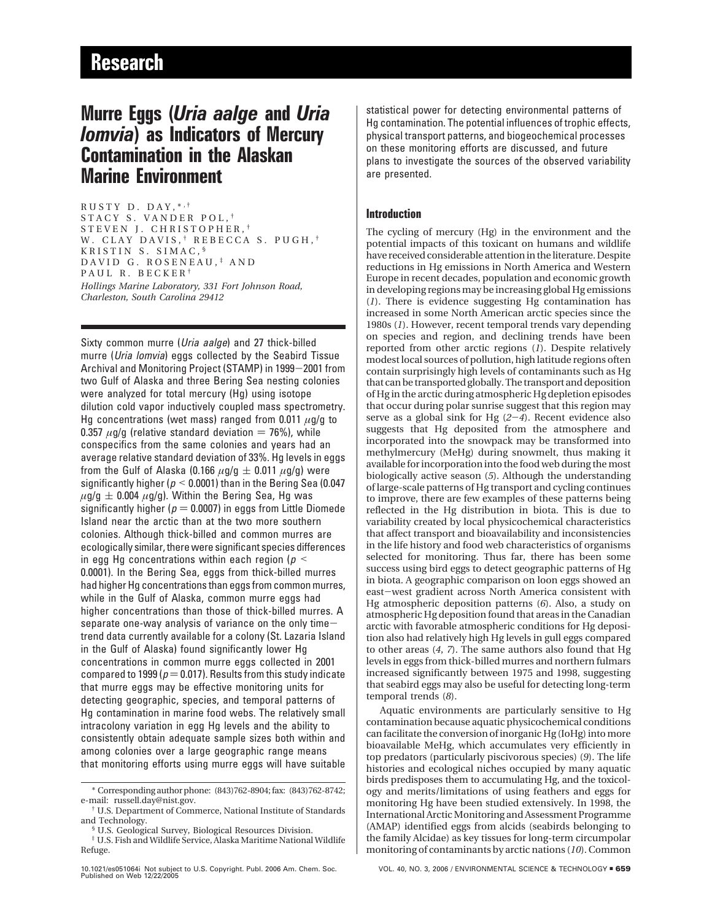# **Murre Eggs (***Uria aalge* **and** *Uria lomvia***) as Indicators of Mercury Contamination in the Alaskan Marine Environment**

RUSTY D. DAY.\*<sup>,†</sup> STACY S. VANDER POL, † STEVEN J. CHRISTOPHER, † W. CLAY DAVIS, † REBECCA S. PUGH, † KRISTIN S. SIMAC, § DAVID G. ROSENEAU, ‡ AND PAUL R. BECKER<sup>†</sup> *Hollings Marine Laboratory, 331 Fort Johnson Road, Charleston, South Carolina 29412*

Sixty common murre (Uria aalge) and 27 thick-billed murre (Uria lomvia) eggs collected by the Seabird Tissue Archival and Monitoring Project (STAMP) in 1999-2001 from two Gulf of Alaska and three Bering Sea nesting colonies were analyzed for total mercury (Hg) using isotope dilution cold vapor inductively coupled mass spectrometry. Hg concentrations (wet mass) ranged from 0.011 *µ*g/g to 0.357  $\mu$ g/g (relative standard deviation  $=$  76%), while conspecifics from the same colonies and years had an average relative standard deviation of 33%. Hg levels in eggs from the Gulf of Alaska (0.166  $\mu$ g/g  $\pm$  0.011  $\mu$ g/g) were significantly higher ( $p < 0.0001$ ) than in the Bering Sea (0.047  $\mu$ g/g  $\pm$  0.004  $\mu$ g/g). Within the Bering Sea, Hg was significantly higher ( $p = 0.0007$ ) in eggs from Little Diomede Island near the arctic than at the two more southern colonies. Although thick-billed and common murres are ecologically similar, there were significant species differences in egg Hg concentrations within each region ( $p <$ 0.0001). In the Bering Sea, eggs from thick-billed murres had higher Hg concentrations than eggs from common murres, while in the Gulf of Alaska, common murre eggs had higher concentrations than those of thick-billed murres. A separate one-way analysis of variance on the only timetrend data currently available for a colony (St. Lazaria Island in the Gulf of Alaska) found significantly lower Hg concentrations in common murre eggs collected in 2001 compared to 1999 ( $p = 0.017$ ). Results from this study indicate that murre eggs may be effective monitoring units for detecting geographic, species, and temporal patterns of Hg contamination in marine food webs. The relatively small intracolony variation in egg Hg levels and the ability to consistently obtain adequate sample sizes both within and among colonies over a large geographic range means that monitoring efforts using murre eggs will have suitable

## **Introduction**

The cycling of mercury (Hg) in the environment and the potential impacts of this toxicant on humans and wildlife have received considerable attention in the literature. Despite reductions in Hg emissions in North America and Western Europe in recent decades, population and economic growth in developing regions may be increasing global Hg emissions (*1*). There is evidence suggesting Hg contamination has increased in some North American arctic species since the 1980s (*1*). However, recent temporal trends vary depending on species and region, and declining trends have been reported from other arctic regions (*1*). Despite relatively modest local sources of pollution, high latitude regions often contain surprisingly high levels of contaminants such as Hg that can be transported globally. The transport and deposition of Hg in the arctic during atmospheric Hg depletion episodes that occur during polar sunrise suggest that this region may serve as a global sink for Hg (*2*-*4*). Recent evidence also suggests that Hg deposited from the atmosphere and incorporated into the snowpack may be transformed into methylmercury (MeHg) during snowmelt, thus making it available for incorporation into the food web during the most biologically active season (*5*). Although the understanding of large-scale patterns of Hg transport and cycling continues to improve, there are few examples of these patterns being reflected in the Hg distribution in biota. This is due to variability created by local physicochemical characteristics that affect transport and bioavailability and inconsistencies in the life history and food web characteristics of organisms selected for monitoring. Thus far, there has been some success using bird eggs to detect geographic patterns of Hg in biota. A geographic comparison on loon eggs showed an east-west gradient across North America consistent with Hg atmospheric deposition patterns (*6*). Also, a study on atmospheric Hg deposition found that areas in the Canadian arctic with favorable atmospheric conditions for Hg deposition also had relatively high Hg levels in gull eggs compared to other areas (*4*, *7*). The same authors also found that Hg levels in eggs from thick-billed murres and northern fulmars increased significantly between 1975 and 1998, suggesting that seabird eggs may also be useful for detecting long-term temporal trends (*8*).

Aquatic environments are particularly sensitive to Hg contamination because aquatic physicochemical conditions can facilitate the conversion of inorganic Hg (IoHg) into more bioavailable MeHg, which accumulates very efficiently in top predators (particularly piscivorous species) (*9*). The life histories and ecological niches occupied by many aquatic birds predisposes them to accumulating Hg, and the toxicology and merits/limitations of using feathers and eggs for monitoring Hg have been studied extensively. In 1998, the International Arctic Monitoring and Assessment Programme (AMAP) identified eggs from alcids (seabirds belonging to the family Alcidae) as key tissues for long-term circumpolar monitoring of contaminants by arctic nations (*10*). Common

<sup>\*</sup> Corresponding author phone: (843)762-8904; fax: (843)762-8742; e-mail: russell.day@nist.gov.

<sup>†</sup> U.S. Department of Commerce, National Institute of Standards and Technology.

<sup>§</sup> U.S. Geological Survey, Biological Resources Division.

<sup>‡</sup> U.S. Fish and Wildlife Service, Alaska Maritime National Wildlife Refuge.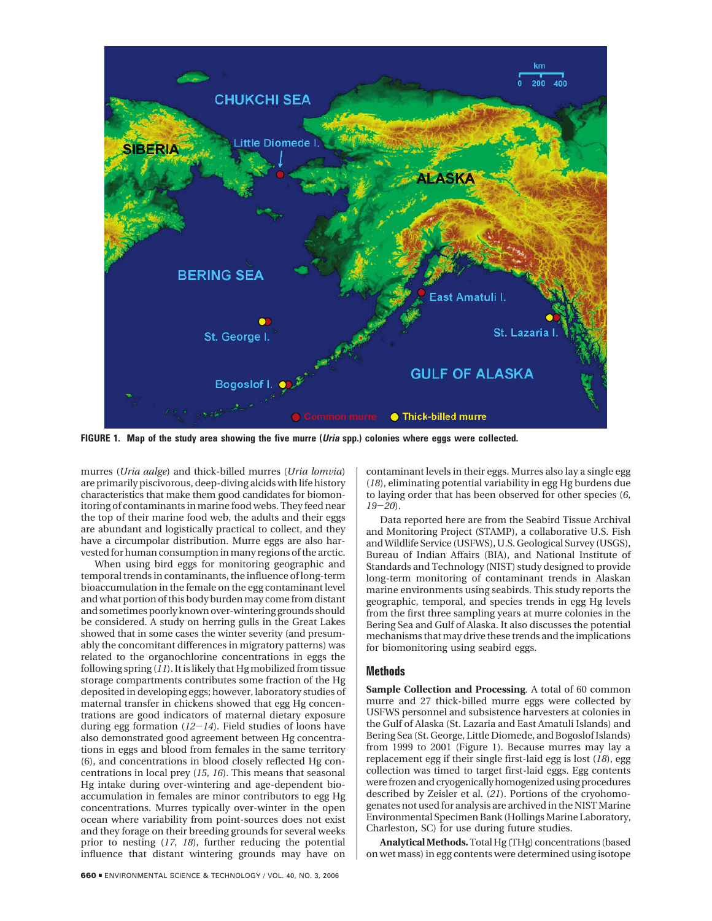

**FIGURE 1. Map of the study area showing the five murre (Uria spp.) colonies where eggs were collected.**

murres (*Uria aalge*) and thick-billed murres (*Uria lomvia*) are primarily piscivorous, deep-diving alcids with life history characteristics that make them good candidates for biomonitoring of contaminants in marine food webs. They feed near the top of their marine food web, the adults and their eggs are abundant and logistically practical to collect, and they have a circumpolar distribution. Murre eggs are also harvested for human consumption in many regions of the arctic.

When using bird eggs for monitoring geographic and temporal trends in contaminants, the influence of long-term bioaccumulation in the female on the egg contaminant level and what portion of this body burden may come from distant and sometimes poorly known over-wintering grounds should be considered. A study on herring gulls in the Great Lakes showed that in some cases the winter severity (and presumably the concomitant differences in migratory patterns) was related to the organochlorine concentrations in eggs the following spring (*11*). It is likely that Hg mobilized from tissue storage compartments contributes some fraction of the Hg deposited in developing eggs; however, laboratory studies of maternal transfer in chickens showed that egg Hg concentrations are good indicators of maternal dietary exposure during egg formation (*12*-*14*). Field studies of loons have also demonstrated good agreement between Hg concentrations in eggs and blood from females in the same territory (6), and concentrations in blood closely reflected Hg concentrations in local prey (*15*, *16*). This means that seasonal Hg intake during over-wintering and age-dependent bioaccumulation in females are minor contributors to egg Hg concentrations. Murres typically over-winter in the open ocean where variability from point-sources does not exist and they forage on their breeding grounds for several weeks prior to nesting (*17*, *18*), further reducing the potential influence that distant wintering grounds may have on contaminant levels in their eggs. Murres also lay a single egg (*18*), eliminating potential variability in egg Hg burdens due to laying order that has been observed for other species (*6*, *<sup>19</sup>*-*20*).

Data reported here are from the Seabird Tissue Archival and Monitoring Project (STAMP), a collaborative U.S. Fish and Wildlife Service (USFWS), U.S. Geological Survey (USGS), Bureau of Indian Affairs (BIA), and National Institute of Standards and Technology (NIST) study designed to provide long-term monitoring of contaminant trends in Alaskan marine environments using seabirds. This study reports the geographic, temporal, and species trends in egg Hg levels from the first three sampling years at murre colonies in the Bering Sea and Gulf of Alaska. It also discusses the potential mechanisms that may drive these trends and the implications for biomonitoring using seabird eggs.

## **Methods**

**Sample Collection and Processing***.* A total of 60 common murre and 27 thick-billed murre eggs were collected by USFWS personnel and subsistence harvesters at colonies in the Gulf of Alaska (St. Lazaria and East Amatuli Islands) and Bering Sea (St. George, Little Diomede, and Bogoslof Islands) from 1999 to 2001 (Figure 1). Because murres may lay a replacement egg if their single first-laid egg is lost (*18*), egg collection was timed to target first-laid eggs. Egg contents were frozen and cryogenically homogenized using procedures described by Zeisler et al. (*21*). Portions of the cryohomogenates not used for analysis are archived in the NIST Marine Environmental Specimen Bank (Hollings Marine Laboratory, Charleston, SC) for use during future studies.

**Analytical Methods.**Total Hg (THg) concentrations (based on wet mass) in egg contents were determined using isotope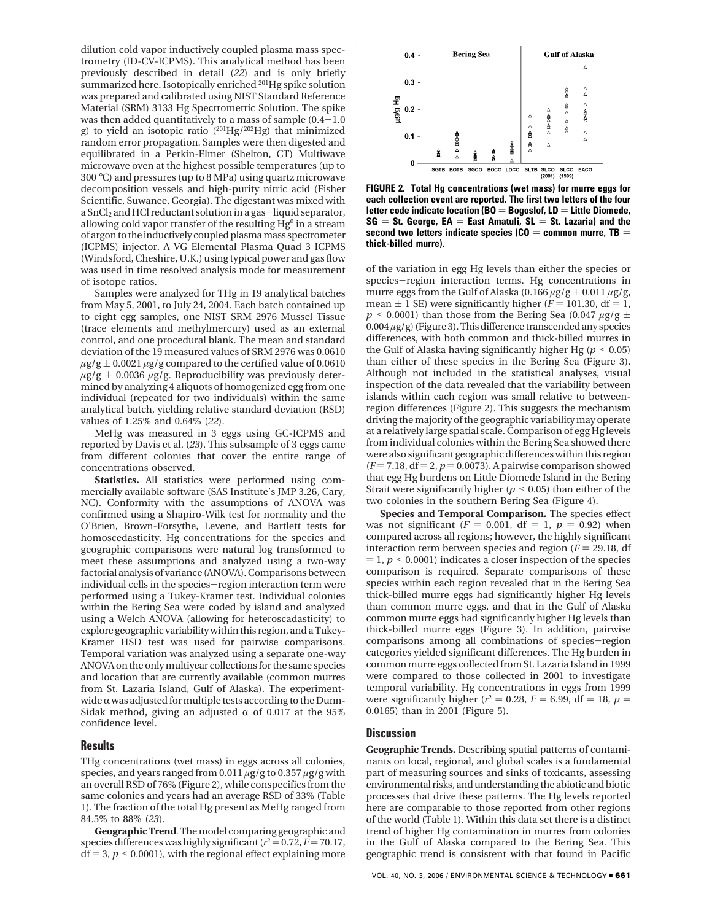dilution cold vapor inductively coupled plasma mass spectrometry (ID-CV-ICPMS). This analytical method has been previously described in detail (*22*) and is only briefly summarized here. Isotopically enriched <sup>201</sup>Hg spike solution was prepared and calibrated using NIST Standard Reference Material (SRM) 3133 Hg Spectrometric Solution. The spike was then added quantitatively to a mass of sample  $(0.4-1.0)$ g) to yield an isotopic ratio (201Hg/202Hg) that minimized random error propagation. Samples were then digested and equilibrated in a Perkin-Elmer (Shelton, CT) Multiwave microwave oven at the highest possible temperatures (up to 300 °C) and pressures (up to 8 MPa) using quartz microwave decomposition vessels and high-purity nitric acid (Fisher Scientific, Suwanee, Georgia). The digestant was mixed with a SnCl<sub>2</sub> and HCl reductant solution in a gas-liquid separator, allowing cold vapor transfer of the resulting  $Hg^0$  in a stream of argon to the inductively coupled plasma mass spectrometer (ICPMS) injector. A VG Elemental Plasma Quad 3 ICPMS (Windsford, Cheshire, U.K.) using typical power and gas flow was used in time resolved analysis mode for measurement of isotope ratios.

Samples were analyzed for THg in 19 analytical batches from May 5, 2001, to July 24, 2004. Each batch contained up to eight egg samples, one NIST SRM 2976 Mussel Tissue (trace elements and methylmercury) used as an external control, and one procedural blank. The mean and standard deviation of the 19 measured values of SRM 2976 was 0.0610  $\mu$ g/g  $\pm$  0.0021  $\mu$ g/g compared to the certified value of 0.0610  $\mu$ g/g  $\pm$  0.0036  $\mu$ g/g. Reproducibility was previously determined by analyzing 4 aliquots of homogenized egg from one individual (repeated for two individuals) within the same analytical batch, yielding relative standard deviation (RSD) values of 1.25% and 0.64% (*22*).

MeHg was measured in 3 eggs using GC-ICPMS and reported by Davis et al. (*23*). This subsample of 3 eggs came from different colonies that cover the entire range of concentrations observed.

**Statistics.** All statistics were performed using commercially available software (SAS Institute's JMP 3.26, Cary, NC). Conformity with the assumptions of ANOVA was confirmed using a Shapiro-Wilk test for normality and the O'Brien, Brown-Forsythe, Levene, and Bartlett tests for homoscedasticity. Hg concentrations for the species and geographic comparisons were natural log transformed to meet these assumptions and analyzed using a two-way factorial analysis of variance (ANOVA). Comparisons between individual cells in the species-region interaction term were performed using a Tukey-Kramer test. Individual colonies within the Bering Sea were coded by island and analyzed using a Welch ANOVA (allowing for heteroscadasticity) to explore geographic variability within this region, and a Tukey-Kramer HSD test was used for pairwise comparisons. Temporal variation was analyzed using a separate one-way ANOVA on the only multiyear collections for the same species and location that are currently available (common murres from St. Lazaria Island, Gulf of Alaska). The experimentwide  $\alpha$  was adjusted for multiple tests according to the Dunn-Sidak method, giving an adjusted  $\alpha$  of 0.017 at the 95% confidence level.

### **Results**

THg concentrations (wet mass) in eggs across all colonies, species, and years ranged from 0.011 *µ*g/g to 0.357 *µ*g/g with an overall RSD of 76% (Figure 2), while conspecifics from the same colonies and years had an average RSD of 33% (Table 1). The fraction of the total Hg present as MeHg ranged from 84.5% to 88% (*23*).

**Geographic Trend***.*The model comparing geographic and species differences was highly significant ( $r^2$  = 0.72, *F* = 70.17,  $df = 3$ ,  $p < 0.0001$ ), with the regional effect explaining more



**FIGURE 2. Total Hg concentrations (wet mass) for murre eggs for each collection event are reported. The first two letters of the four letter code indicate location (BO** ) **Bogoslof, LD** ) **Little Diomede,**  $SG = St.$  George,  $EA = East$  Amatuli,  $SL = St.$  Lazaria) and the second two letters indicate species ( $CO =$  common murre,  $TB =$ **thick-billed murre).**

of the variation in egg Hg levels than either the species or species-region interaction terms. Hg concentrations in murre eggs from the Gulf of Alaska (0.166  $\mu$ g/g  $\pm$  0.011  $\mu$ g/g, mean  $\pm$  1 SE) were significantly higher ( $F = 101.30$ , df = 1,  $p \le 0.0001$ ) than those from the Bering Sea (0.047  $\mu$ g/g  $\pm$ 0.004 *µ*g/g) (Figure 3). This difference transcended any species differences, with both common and thick-billed murres in the Gulf of Alaska having significantly higher Hg ( $p < 0.05$ ) than either of these species in the Bering Sea (Figure 3). Although not included in the statistical analyses, visual inspection of the data revealed that the variability between islands within each region was small relative to betweenregion differences (Figure 2). This suggests the mechanism driving the majority of the geographic variability may operate at a relatively large spatial scale. Comparison of egg Hg levels from individual colonies within the Bering Sea showed there were also significant geographic differences within this region  $(F = 7.18, df = 2, p = 0.0073)$ . A pairwise comparison showed that egg Hg burdens on Little Diomede Island in the Bering Strait were significantly higher ( $p < 0.05$ ) than either of the two colonies in the southern Bering Sea (Figure 4).

**Species and Temporal Comparison***.* The species effect was not significant  $(F = 0.001, df = 1, p = 0.92)$  when compared across all regions; however, the highly significant interaction term between species and region  $(F = 29.18, df)$  $= 1, p \le 0.0001$ ) indicates a closer inspection of the species comparison is required. Separate comparisons of these species within each region revealed that in the Bering Sea thick-billed murre eggs had significantly higher Hg levels than common murre eggs, and that in the Gulf of Alaska common murre eggs had significantly higher Hg levels than thick-billed murre eggs (Figure 3). In addition, pairwise comparisons among all combinations of species-region categories yielded significant differences. The Hg burden in common murre eggs collected from St. Lazaria Island in 1999 were compared to those collected in 2001 to investigate temporal variability. Hg concentrations in eggs from 1999 were significantly higher ( $r^2 = 0.28$ ,  $F = 6.99$ , df = 18,  $p =$ 0.0165) than in 2001 (Figure 5).

#### **Discussion**

**Geographic Trends.** Describing spatial patterns of contaminants on local, regional, and global scales is a fundamental part of measuring sources and sinks of toxicants, assessing environmental risks, and understanding the abiotic and biotic processes that drive these patterns. The Hg levels reported here are comparable to those reported from other regions of the world (Table 1). Within this data set there is a distinct trend of higher Hg contamination in murres from colonies in the Gulf of Alaska compared to the Bering Sea. This geographic trend is consistent with that found in Pacific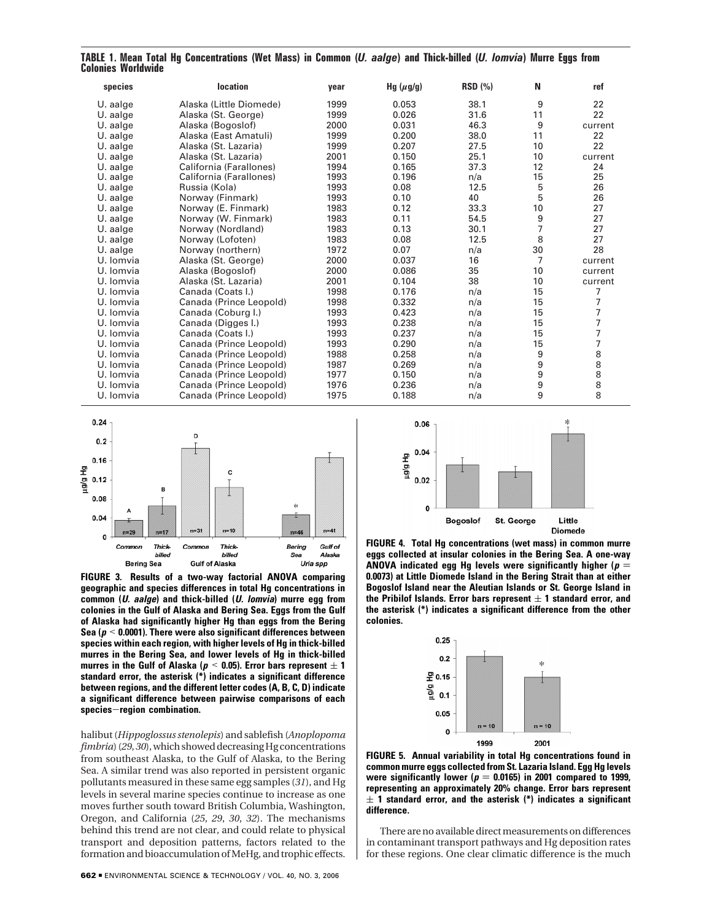| species   | <b>location</b>         | year | Hg $(\mu g/g)$ | <b>RSD (%)</b> | N              | ref     |
|-----------|-------------------------|------|----------------|----------------|----------------|---------|
| U. aalge  | Alaska (Little Diomede) | 1999 | 0.053          | 38.1           | 9              | 22      |
| U. aalge  | Alaska (St. George)     | 1999 | 0.026          | 31.6           | 11             | 22      |
| U. aalge  | Alaska (Bogoslof)       | 2000 | 0.031          | 46.3           | 9              | current |
| U. aalge  | Alaska (East Amatuli)   | 1999 | 0.200          | 38.0           | 11             | 22      |
| U. aalge  | Alaska (St. Lazaria)    | 1999 | 0.207          | 27.5           | 10             | 22      |
| U. aalge  | Alaska (St. Lazaria)    | 2001 | 0.150          | 25.1           | 10             | current |
| U. aalge  | California (Farallones) | 1994 | 0.165          | 37.3           | 12             | 24      |
| U. aalge  | California (Farallones) | 1993 | 0.196          | n/a            | 15             | 25      |
| U. aalge  | Russia (Kola)           | 1993 | 0.08           | 12.5           | 5              | 26      |
| U. aalge  | Norway (Finmark)        | 1993 | 0.10           | 40             | 5              | 26      |
| U. aalge  | Norway (E. Finmark)     | 1983 | 0.12           | 33.3           | 10             | 27      |
| U. aalge  | Norway (W. Finmark)     | 1983 | 0.11           | 54.5           | 9              | 27      |
| U. aalge  | Norway (Nordland)       | 1983 | 0.13           | 30.1           | $\overline{7}$ | 27      |
| U. aalge  | Norway (Lofoten)        | 1983 | 0.08           | 12.5           | 8              | 27      |
| U. aalge  | Norway (northern)       | 1972 | 0.07           | n/a            | 30             | 28      |
| U. Iomvia | Alaska (St. George)     | 2000 | 0.037          | 16             | $\overline{7}$ | current |
| U. Iomvia | Alaska (Bogoslof)       | 2000 | 0.086          | 35             | 10             | current |
| U. Iomvia | Alaska (St. Lazaria)    | 2001 | 0.104          | 38             | 10             | current |
| U. Iomvia | Canada (Coats I.)       | 1998 | 0.176          | n/a            | 15             | 7       |
| U. Iomvia | Canada (Prince Leopold) | 1998 | 0.332          | n/a            | 15             | 7       |
| U. Iomvia | Canada (Coburg I.)      | 1993 | 0.423          | n/a            | 15             | 7       |
| U. Iomvia | Canada (Digges I.)      | 1993 | 0.238          | n/a            | 15             | 7       |
| U. Iomvia | Canada (Coats I.)       | 1993 | 0.237          | n/a            | 15             | 7       |
| U. Iomvia | Canada (Prince Leopold) | 1993 | 0.290          | n/a            | 15             | 7       |
| U. Iomvia | Canada (Prince Leopold) | 1988 | 0.258          | n/a            | 9              | 8888    |
| U. Iomvia | Canada (Prince Leopold) | 1987 | 0.269          | n/a            | 9              |         |
| U. Iomvia | Canada (Prince Leopold) | 1977 | 0.150          | n/a            | 9              |         |
| U. Iomvia | Canada (Prince Leopold) | 1976 | 0.236          | n/a            | 9              |         |
| U. Iomvia | Canada (Prince Leopold) | 1975 | 0.188          | n/a            | 9              | 8       |

**TABLE 1. Mean Total Hg Concentrations (Wet Mass) in Common (***U. aalge***) and Thick-billed (***U. lomvia***) Murre Eggs from Colonies Worldwide**



**FIGURE 3. Results of a two-way factorial ANOVA comparing geographic and species differences in total Hg concentrations in common (U. aalge) and thick-billed (U. lomvia) murre egg from colonies in the Gulf of Alaska and Bering Sea. Eggs from the Gulf of Alaska had significantly higher Hg than eggs from the Bering Sea (<sup>p</sup>** < **0.0001). There were also significant differences between species within each region, with higher levels of Hg in thick-billed murres in the Bering Sea, and lower levels of Hg in thick-billed murres in the Gulf of Alaska (** $p < 0.05$ **). Error bars represent**  $\pm 1$ **standard error, the asterisk (\*) indicates a significant difference between regions, and the different letter codes (A, B, C, D) indicate a significant difference between pairwise comparisons of each species**-**region combination.**

halibut (*Hippoglossus stenolepis*) and sablefish (*Anoplopoma fimbria*) (*29*, *30*), which showed decreasing Hg concentrations from southeast Alaska, to the Gulf of Alaska, to the Bering Sea. A similar trend was also reported in persistent organic pollutants measured in these same egg samples (*31*), and Hg levels in several marine species continue to increase as one moves further south toward British Columbia, Washington, Oregon, and California (*25*, *29*, *30*, *32*). The mechanisms behind this trend are not clear, and could relate to physical transport and deposition patterns, factors related to the formation and bioaccumulation of MeHg, and trophic effects.



**FIGURE 4. Total Hg concentrations (wet mass) in common murre eggs collected at insular colonies in the Bering Sea. A one-way ANOVA** indicated egg Hg levels were significantly higher ( $p =$ **0.0073) at Little Diomede Island in the Bering Strait than at either Bogoslof Island near the Aleutian Islands or St. George Island in** the Pribilof Islands. Error bars represent  $\pm$  1 standard error, and **the asterisk (\*) indicates a significant difference from the other colonies.**



**FIGURE 5. Annual variability in total Hg concentrations found in common murre eggs collected from St. Lazaria Island. Egg Hg levels** were significantly lower ( $p = 0.0165$ ) in 2001 compared to 1999, **representing an approximately 20% change. Error bars represent**  $\pm$  1 standard error, and the asterisk (\*) indicates a significant **difference.**

There are no available direct measurements on differences in contaminant transport pathways and Hg deposition rates for these regions. One clear climatic difference is the much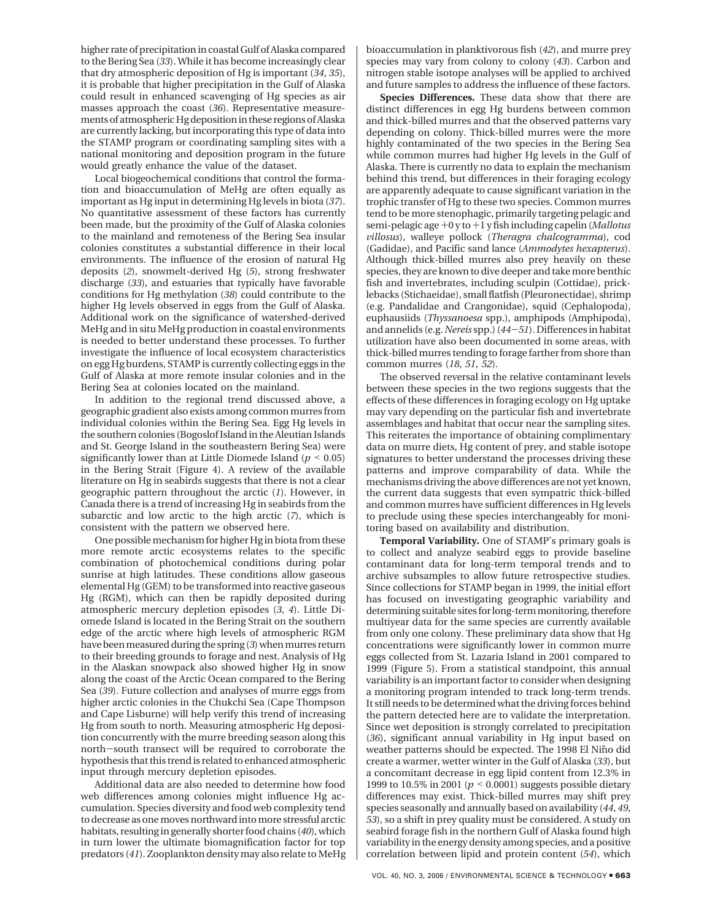higher rate of precipitation in coastal Gulf of Alaska compared to the Bering Sea (*33*). While it has become increasingly clear that dry atmospheric deposition of Hg is important (*34*, *35*), it is probable that higher precipitation in the Gulf of Alaska could result in enhanced scavenging of Hg species as air masses approach the coast (*36*). Representative measurements of atmospheric Hg deposition in these regions of Alaska are currently lacking, but incorporating this type of data into the STAMP program or coordinating sampling sites with a national monitoring and deposition program in the future would greatly enhance the value of the dataset.

Local biogeochemical conditions that control the formation and bioaccumulation of MeHg are often equally as important as Hg input in determining Hg levels in biota (*37*). No quantitative assessment of these factors has currently been made, but the proximity of the Gulf of Alaska colonies to the mainland and remoteness of the Bering Sea insular colonies constitutes a substantial difference in their local environments. The influence of the erosion of natural Hg deposits (*2*), snowmelt-derived Hg (*5*), strong freshwater discharge (*33*), and estuaries that typically have favorable conditions for Hg methylation (*38*) could contribute to the higher Hg levels observed in eggs from the Gulf of Alaska. Additional work on the significance of watershed-derived MeHg and in situ MeHg production in coastal environments is needed to better understand these processes. To further investigate the influence of local ecosystem characteristics on egg Hg burdens, STAMP is currently collecting eggs in the Gulf of Alaska at more remote insular colonies and in the Bering Sea at colonies located on the mainland.

In addition to the regional trend discussed above, a geographic gradient also exists among common murres from individual colonies within the Bering Sea. Egg Hg levels in the southern colonies (Bogoslof Island in the Aleutian Islands and St. George Island in the southeastern Bering Sea) were significantly lower than at Little Diomede Island ( $p < 0.05$ ) in the Bering Strait (Figure 4). A review of the available literature on Hg in seabirds suggests that there is not a clear geographic pattern throughout the arctic (*1*). However, in Canada there is a trend of increasing Hg in seabirds from the subarctic and low arctic to the high arctic (*7*), which is consistent with the pattern we observed here.

One possible mechanism for higher Hg in biota from these more remote arctic ecosystems relates to the specific combination of photochemical conditions during polar sunrise at high latitudes. These conditions allow gaseous elemental Hg (GEM) to be transformed into reactive gaseous Hg (RGM), which can then be rapidly deposited during atmospheric mercury depletion episodes (*3*, *4*). Little Diomede Island is located in the Bering Strait on the southern edge of the arctic where high levels of atmospheric RGM have been measured during the spring (*3*) when murres return to their breeding grounds to forage and nest. Analysis of Hg in the Alaskan snowpack also showed higher Hg in snow along the coast of the Arctic Ocean compared to the Bering Sea (*39*). Future collection and analyses of murre eggs from higher arctic colonies in the Chukchi Sea (Cape Thompson and Cape Lisburne) will help verify this trend of increasing Hg from south to north. Measuring atmospheric Hg deposition concurrently with the murre breeding season along this north-south transect will be required to corroborate the hypothesis that this trend is related to enhanced atmospheric input through mercury depletion episodes.

Additional data are also needed to determine how food web differences among colonies might influence Hg accumulation. Species diversity and food web complexity tend to decrease as one moves northward into more stressful arctic habitats, resulting in generally shorter food chains (*40*), which in turn lower the ultimate biomagnification factor for top predators (*41*). Zooplankton density may also relate to MeHg bioaccumulation in planktivorous fish (*42*), and murre prey species may vary from colony to colony (*43*). Carbon and nitrogen stable isotope analyses will be applied to archived and future samples to address the influence of these factors.

**Species Differences***.* These data show that there are distinct differences in egg Hg burdens between common and thick-billed murres and that the observed patterns vary depending on colony. Thick-billed murres were the more highly contaminated of the two species in the Bering Sea while common murres had higher Hg levels in the Gulf of Alaska. There is currently no data to explain the mechanism behind this trend, but differences in their foraging ecology are apparently adequate to cause significant variation in the trophic transfer of Hg to these two species. Common murres tend to be more stenophagic, primarily targeting pelagic and semi-pelagic age +0 y to+1 y fish including capelin (*Mallotus villosus*), walleye pollock (*Theragra chalcogramma*), cod (Gadidae), and Pacific sand lance (*Ammodytes hexapterus*). Although thick-billed murres also prey heavily on these species, they are known to dive deeper and take more benthic fish and invertebrates, including sculpin (Cottidae), pricklebacks (Stichaeidae), small flatfish (Pleuronectidae), shrimp (e.g. Pandalidae and Crangonidae), squid (Cephalopoda), euphausiids (*Thyssanoesa* spp.), amphipods (Amphipoda), and annelids (e.g. *Nereis* spp.) (*44*-*51*). Differences in habitat utilization have also been documented in some areas, with thick-billed murres tending to forage farther from shore than common murres (*18*, *51*, *52*).

The observed reversal in the relative contaminant levels between these species in the two regions suggests that the effects of these differences in foraging ecology on Hg uptake may vary depending on the particular fish and invertebrate assemblages and habitat that occur near the sampling sites. This reiterates the importance of obtaining complimentary data on murre diets, Hg content of prey, and stable isotope signatures to better understand the processes driving these patterns and improve comparability of data. While the mechanisms driving the above differences are not yet known, the current data suggests that even sympatric thick-billed and common murres have sufficient differences in Hg levels to preclude using these species interchangeably for monitoring based on availability and distribution.

**Temporal Variability***.* One of STAMP's primary goals is to collect and analyze seabird eggs to provide baseline contaminant data for long-term temporal trends and to archive subsamples to allow future retrospective studies. Since collections for STAMP began in 1999, the initial effort has focused on investigating geographic variability and determining suitable sites for long-term monitoring, therefore multiyear data for the same species are currently available from only one colony. These preliminary data show that Hg concentrations were significantly lower in common murre eggs collected from St. Lazaria Island in 2001 compared to 1999 (Figure 5). From a statistical standpoint, this annual variability is an important factor to consider when designing a monitoring program intended to track long-term trends. It still needs to be determined what the driving forces behind the pattern detected here are to validate the interpretation. Since wet deposition is strongly correlated to precipitation (*36*), significant annual variability in Hg input based on weather patterns should be expected. The 1998 El Nino did create a warmer, wetter winter in the Gulf of Alaska (*33*), but a concomitant decrease in egg lipid content from 12.3% in 1999 to 10.5% in 2001 (*<sup>p</sup>* < 0.0001) suggests possible dietary differences may exist. Thick-billed murres may shift prey species seasonally and annually based on availability (*44*, *49*, *53*), so a shift in prey quality must be considered. A study on seabird forage fish in the northern Gulf of Alaska found high variability in the energy density among species, and a positive correlation between lipid and protein content (*54*), which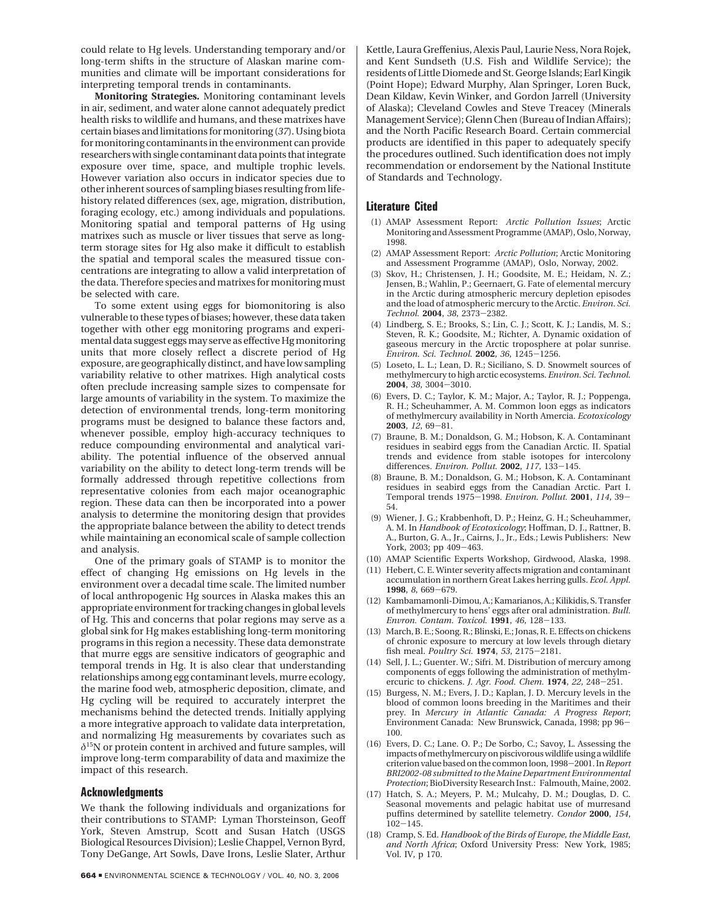could relate to Hg levels. Understanding temporary and/or long-term shifts in the structure of Alaskan marine communities and climate will be important considerations for interpreting temporal trends in contaminants.

**Monitoring Strategies***.* Monitoring contaminant levels in air, sediment, and water alone cannot adequately predict health risks to wildlife and humans, and these matrixes have certain biases and limitations for monitoring (*37*). Using biota for monitoring contaminants in the environment can provide researchers with single contaminant data points that integrate exposure over time, space, and multiple trophic levels. However variation also occurs in indicator species due to other inherent sources of sampling biases resulting from lifehistory related differences (sex, age, migration, distribution, foraging ecology, etc.) among individuals and populations. Monitoring spatial and temporal patterns of Hg using matrixes such as muscle or liver tissues that serve as longterm storage sites for Hg also make it difficult to establish the spatial and temporal scales the measured tissue concentrations are integrating to allow a valid interpretation of the data. Therefore species and matrixes for monitoring must be selected with care.

To some extent using eggs for biomonitoring is also vulnerable to these types of biases; however, these data taken together with other egg monitoring programs and experimental data suggest eggs may serve as effective Hg monitoring units that more closely reflect a discrete period of Hg exposure, are geographically distinct, and have low sampling variability relative to other matrixes. High analytical costs often preclude increasing sample sizes to compensate for large amounts of variability in the system. To maximize the detection of environmental trends, long-term monitoring programs must be designed to balance these factors and, whenever possible, employ high-accuracy techniques to reduce compounding environmental and analytical variability. The potential influence of the observed annual variability on the ability to detect long-term trends will be formally addressed through repetitive collections from representative colonies from each major oceanographic region. These data can then be incorporated into a power analysis to determine the monitoring design that provides the appropriate balance between the ability to detect trends while maintaining an economical scale of sample collection and analysis.

One of the primary goals of STAMP is to monitor the effect of changing Hg emissions on Hg levels in the environment over a decadal time scale. The limited number of local anthropogenic Hg sources in Alaska makes this an appropriate environment for tracking changes in global levels of Hg. This and concerns that polar regions may serve as a global sink for Hg makes establishing long-term monitoring programs in this region a necessity. These data demonstrate that murre eggs are sensitive indicators of geographic and temporal trends in Hg. It is also clear that understanding relationships among egg contaminant levels, murre ecology, the marine food web, atmospheric deposition, climate, and Hg cycling will be required to accurately interpret the mechanisms behind the detected trends. Initially applying a more integrative approach to validate data interpretation, and normalizing Hg measurements by covariates such as *δ*15N or protein content in archived and future samples, will improve long-term comparability of data and maximize the impact of this research.

### **Acknowledgments**

We thank the following individuals and organizations for their contributions to STAMP: Lyman Thorsteinson, Geoff York, Steven Amstrup, Scott and Susan Hatch (USGS Biological Resources Division); Leslie Chappel, Vernon Byrd, Tony DeGange, Art Sowls, Dave Irons, Leslie Slater, Arthur

Kettle, Laura Greffenius, Alexis Paul, Laurie Ness, Nora Rojek, and Kent Sundseth (U.S. Fish and Wildlife Service); the residents of Little Diomede and St. George Islands; Earl Kingik (Point Hope); Edward Murphy, Alan Springer, Loren Buck, Dean Kildaw, Kevin Winker, and Gordon Jarrell (University of Alaska); Cleveland Cowles and Steve Treacey (Minerals Management Service); Glenn Chen (Bureau of Indian Affairs); and the North Pacific Research Board. Certain commercial products are identified in this paper to adequately specify the procedures outlined. Such identification does not imply recommendation or endorsement by the National Institute of Standards and Technology.

#### **Literature Cited**

- (1) AMAP Assessment Report: *Arctic Pollution Issues*; Arctic Monitoring and Assessment Programme (AMAP), Oslo, Norway, 1998.
- (2) AMAP Assessment Report: *Arctic Pollution*; Arctic Monitoring and Assessment Programme (AMAP), Oslo, Norway, 2002.
- (3) Skov, H.; Christensen, J. H.; Goodsite, M. E.; Heidam, N. Z.; Jensen, B.; Wahlin, P.; Geernaert, G. Fate of elemental mercury in the Arctic during atmospheric mercury depletion episodes and the load of atmospheric mercury to the Arctic. *Environ. Sci. Technol.* **<sup>2004</sup>**, *<sup>38</sup>*, 2373-2382.
- (4) Lindberg, S. E.; Brooks, S.; Lin, C. J.; Scott, K. J.; Landis, M. S.; Steven, R. K.; Goodsite, M.; Richter, A. Dynamic oxidation of gaseous mercury in the Arctic troposphere at polar sunrise. *Environ. Sci. Technol.* **<sup>2002</sup>**, *<sup>36</sup>*, 1245-1256.
- (5) Loseto, L. L.; Lean, D. R.; Siciliano, S. D. Snowmelt sources of methylmercury to high arctic ecosystems. *Environ. Sci. Technol.* **<sup>2004</sup>**, *<sup>38</sup>*, 3004-3010.
- (6) Evers, D. C.; Taylor, K. M.; Major, A.; Taylor, R. J.; Poppenga, R. H.; Scheuhammer, A. M. Common loon eggs as indicators of methylmercury availability in North Amercia. *Ecotoxicology* **<sup>2003</sup>**, *<sup>12</sup>*, 69-81.
- (7) Braune, B. M.; Donaldson, G. M.; Hobson, K. A. Contaminant residues in seabird eggs from the Canadian Arctic. II. Spatial trends and evidence from stable isotopes for intercolony differences. *Environ. Pollut.* **<sup>2002</sup>**, *<sup>117</sup>*, 133-145.
- (8) Braune, B. M.; Donaldson, G. M.; Hobson, K. A. Contaminant residues in seabird eggs from the Canadian Arctic. Part I. Temporal trends 1975-1998. *Environ. Pollut.* **<sup>2001</sup>**, *<sup>114</sup>*, 39- 54.
- (9) Wiener, J. G.; Krabbenhoft, D. P.; Heinz, G. H.; Scheuhammer, A. M. In *Handbook of Ecotoxicology*; Hoffman, D. J., Rattner, B. A., Burton, G. A., Jr., Cairns, J., Jr., Eds.; Lewis Publishers: New York, 2003; pp 409-463.
- (10) AMAP Scientific Experts Workshop, Girdwood, Alaska, 1998.
- (11) Hebert, C. E. Winter severity affects migration and contaminant accumulation in northern Great Lakes herring gulls. *Ecol. Appl.* **<sup>1998</sup>**, *<sup>8</sup>*, 669-679.
- (12) Kambamamonli-Dimou, A.; Kamarianos, A.; Kilikidis, S. Transfer of methylmercury to hens' eggs after oral administration. *Bull. Envron. Contam. Toxicol.* **<sup>1991</sup>**, *<sup>46</sup>*, 128-133.
- (13) March, B. E.; Soong. R.; Blinski, E.; Jonas, R. E. Effects on chickens of chronic exposure to mercury at low levels through dietary fish meal. *Poultry Sci.* **<sup>1974</sup>**, *<sup>53</sup>*, 2175-2181.
- (14) Sell, J. L.; Guenter. W.; Sifri. M. Distribution of mercury among components of eggs following the administration of methylmercuric to chickens. *J. Agr. Food. Chem.* **<sup>1974</sup>**, *<sup>22</sup>*, 248-251.
- (15) Burgess, N. M.; Evers, J. D.; Kaplan, J. D. Mercury levels in the blood of common loons breeding in the Maritimes and their prey. In *Mercury in Atlantic Canada: A Progress Report*; Environment Canada: New Brunswick, Canada, 1998; pp 96- 100.
- (16) Evers, D. C.; Lane. O. P.; De Sorbo, C.; Savoy, L. Assessing the impacts of methylmercury on piscivorous wildlife using a wildlife criterion value based on the common loon, 1998-2001. In*Report BRI2002-08 submitted to the Maine Department Environmental Protection*; BioDiversity Research Inst.: Falmouth, Maine, 2002.
- (17) Hatch, S. A.; Meyers, P. M.; Mulcahy, D. M.; Douglas, D. C. Seasonal movements and pelagic habitat use of murresand puffins determined by satellite telemetry. *Condor* **2000**, *154*, <sup>102</sup>-145.
- (18) Cramp, S. Ed. *Handbook of the Birds of Europe, the Middle East, and North Africa*; Oxford University Press: New York, 1985; Vol. IV, p 170.